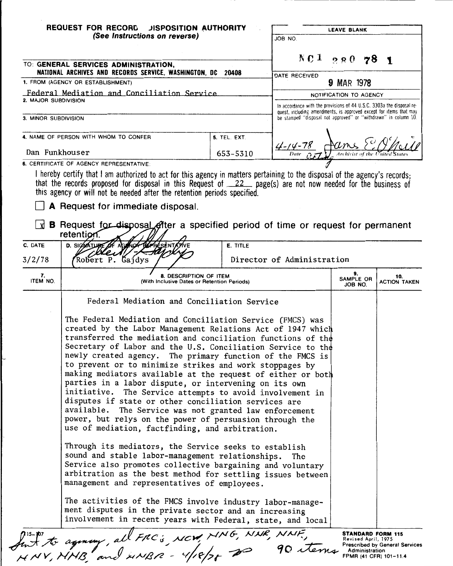|                                                                        | <b>REQUEST FOR RECORD</b><br><b>JISPOSITION AUTHORITY</b><br>(See Instructions on reverse)                                                                                                                                                                                                                                                                                                                                                                                                                                                                                                                                                                                                                                                                                                            |              | JOB NO.                                                                                                                               | <b>LEAVE BLANK</b>         |  |                            |  |
|------------------------------------------------------------------------|-------------------------------------------------------------------------------------------------------------------------------------------------------------------------------------------------------------------------------------------------------------------------------------------------------------------------------------------------------------------------------------------------------------------------------------------------------------------------------------------------------------------------------------------------------------------------------------------------------------------------------------------------------------------------------------------------------------------------------------------------------------------------------------------------------|--------------|---------------------------------------------------------------------------------------------------------------------------------------|----------------------------|--|----------------------------|--|
|                                                                        |                                                                                                                                                                                                                                                                                                                                                                                                                                                                                                                                                                                                                                                                                                                                                                                                       |              |                                                                                                                                       |                            |  |                            |  |
|                                                                        | TO: GENERAL SERVICES ADMINISTRATION,<br>NATIONAL ARCHIVES AND RECORDS SERVICE, WASHINGTON, DC 20408                                                                                                                                                                                                                                                                                                                                                                                                                                                                                                                                                                                                                                                                                                   |              |                                                                                                                                       | $NC1$ 280 78               |  |                            |  |
|                                                                        | 1. FROM (AGENCY OR ESTABLISHMENT)                                                                                                                                                                                                                                                                                                                                                                                                                                                                                                                                                                                                                                                                                                                                                                     |              | DATE RECEIVED                                                                                                                         | 9 MAR 1978                 |  |                            |  |
|                                                                        | Federal Mediation and Conciliation Service                                                                                                                                                                                                                                                                                                                                                                                                                                                                                                                                                                                                                                                                                                                                                            |              | NOTIFICATION TO AGENCY                                                                                                                |                            |  |                            |  |
| 2. MAJOR SUBDIVISION                                                   |                                                                                                                                                                                                                                                                                                                                                                                                                                                                                                                                                                                                                                                                                                                                                                                                       |              | In accordance with the provisions of 44 U.S.C. 3303a the disposal re-                                                                 |                            |  |                            |  |
| 3. MINOR SUBDIVISION                                                   |                                                                                                                                                                                                                                                                                                                                                                                                                                                                                                                                                                                                                                                                                                                                                                                                       |              | quest, including amendments, is approved except for items that may<br>be stamped "disposal not approved" or "withdrawn" in column 10. |                            |  |                            |  |
|                                                                        | 4. NAME OF PERSON WITH WHOM TO CONFER                                                                                                                                                                                                                                                                                                                                                                                                                                                                                                                                                                                                                                                                                                                                                                 | 5. TEL. EXT. | $\frac{42-(4-78)}{2}$                                                                                                                 |                            |  |                            |  |
| Dan Funkhouser<br>653-5310<br>6. CERTIFICATE OF AGENCY REPRESENTATIVE: |                                                                                                                                                                                                                                                                                                                                                                                                                                                                                                                                                                                                                                                                                                                                                                                                       |              |                                                                                                                                       |                            |  |                            |  |
| Lxi                                                                    | I hereby certify that I am authorized to act for this agency in matters pertaining to the disposal of the agency's records;<br>that the records proposed for disposal in this Request of 22 page(s) are not now needed for the business of<br>this agency or will not be needed after the retention periods specified.<br>A Request for immediate disposal.<br>B Request for disposal ofter a specified period of time or request for permanent<br>retention.                                                                                                                                                                                                                                                                                                                                         |              |                                                                                                                                       |                            |  |                            |  |
| C. DATE                                                                | AG NOT BEFRESENTATIVE<br>D. SIGNATURE OF                                                                                                                                                                                                                                                                                                                                                                                                                                                                                                                                                                                                                                                                                                                                                              | E. TITLE     |                                                                                                                                       |                            |  |                            |  |
| 3/2/78                                                                 | Robert P. Gajdys                                                                                                                                                                                                                                                                                                                                                                                                                                                                                                                                                                                                                                                                                                                                                                                      |              | Director of Administration                                                                                                            |                            |  |                            |  |
| 7.<br>ITEM NO.                                                         | 8. DESCRIPTION OF ITEM<br>(With Inclusive Dates or Retention Periods)                                                                                                                                                                                                                                                                                                                                                                                                                                                                                                                                                                                                                                                                                                                                 |              |                                                                                                                                       | 9.<br>SAMPLE OR<br>JOB NO. |  | 10.<br><b>ACTION TAKEN</b> |  |
|                                                                        | Federal Mediation and Conciliation Service                                                                                                                                                                                                                                                                                                                                                                                                                                                                                                                                                                                                                                                                                                                                                            |              |                                                                                                                                       |                            |  |                            |  |
|                                                                        | The Federal Mediation and Conciliation Service (FMCS) was<br>created by the Labor Management Relations Act of 1947 which<br>transferred the mediation and conciliation functions of the<br>Secretary of Labor and the U.S. Conciliation Service to the<br>newly created agency. The primary function of the FMCS is<br>to prevent or to minimize strikes and work stoppages by<br>making mediators available at the request of either or both<br>parties in a labor dispute, or intervening on its own<br>initiative. The Service attempts to avoid involvement in<br>disputes if state or other conciliation services are<br>available.<br>The Service was not granted law enforcement<br>power, but relys on the power of persuasion through the<br>use of mediation, factfinding, and arbitration. |              |                                                                                                                                       |                            |  |                            |  |
|                                                                        | Through its mediators, the Service seeks to establish<br>sound and stable labor-management relationships.<br>Service also promotes collective bargaining and voluntary<br>arbitration as the best method for settling issues between<br>management and representatives of employees.<br>The activities of the FMCS involve industry labor-manage-<br>ment disputes in the private sector and an increasing                                                                                                                                                                                                                                                                                                                                                                                            |              | The                                                                                                                                   |                            |  |                            |  |
| listor to agency, all FRC's NCW, MMG, NNR, NNF,                        | involvement in recent years with Federal, state, and local                                                                                                                                                                                                                                                                                                                                                                                                                                                                                                                                                                                                                                                                                                                                            |              |                                                                                                                                       |                            |  |                            |  |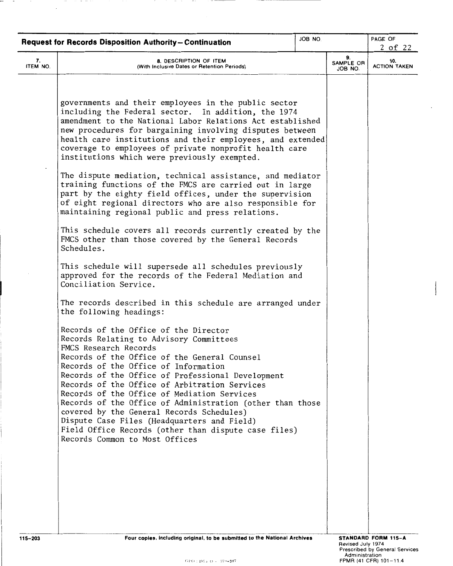|                | JOB NO.<br><b>Request for Records Disposition Authority-Continuation</b>                                                                                                                                                                                                                                                                                                                                                                                                                                        |  |                                     | PAGE OF<br>$2$ of 22                                  |
|----------------|-----------------------------------------------------------------------------------------------------------------------------------------------------------------------------------------------------------------------------------------------------------------------------------------------------------------------------------------------------------------------------------------------------------------------------------------------------------------------------------------------------------------|--|-------------------------------------|-------------------------------------------------------|
| 7.<br>ITEM NO. | 8. DESCRIPTION OF ITEM<br>(With Inclusive Dates or Retention Periods)                                                                                                                                                                                                                                                                                                                                                                                                                                           |  | 9.<br>SAMPLE OR<br>JOB NO.          | 10.<br><b>ACTION TAKEN</b>                            |
|                | governments and their employees in the public sector<br>including the Federal sector. In addition, the 1974<br>amendment to the National Labor Relations Act established<br>new procedures for bargaining involving disputes between<br>health care institutions and their employees, and extended<br>coverage to employees of private nonprofit health care<br>institutions which were previously exempted.                                                                                                    |  |                                     |                                                       |
|                | The dispute mediation, technical assistance, and mediator<br>training functions of the FMCS are carried out in large<br>part by the eighty field offices, under the supervision<br>of eight regional directors who are also responsible for<br>maintaining regional public and press relations.                                                                                                                                                                                                                 |  |                                     |                                                       |
|                | This schedule covers all records currently created by the<br>FMCS other than those covered by the General Records<br>Schedules.                                                                                                                                                                                                                                                                                                                                                                                 |  |                                     |                                                       |
|                | This schedule will supersede all schedules previously<br>approved for the records of the Federal Mediation and<br>Conciliation Service.                                                                                                                                                                                                                                                                                                                                                                         |  |                                     |                                                       |
|                | The records described in this schedule are arranged under<br>the following headings:                                                                                                                                                                                                                                                                                                                                                                                                                            |  |                                     |                                                       |
|                | Records of the Office of the Director<br>Records Relating to Advisory Committees<br>FMCS Research Records<br>Records of the Office of the General Counsel<br>Records of the Office of Information<br>Records of the Office of Professional Development<br>Records of the Office of Arbitration Services<br>Records of the Office of Mediation Services<br>Records of the Office of Administration (other than those<br>covered by the General Records Schedules)<br>Dispute Case Files (Headquarters and Field) |  |                                     |                                                       |
|                | Field Office Records (other than dispute case files)<br>Records Common to Most Offices                                                                                                                                                                                                                                                                                                                                                                                                                          |  |                                     |                                                       |
|                |                                                                                                                                                                                                                                                                                                                                                                                                                                                                                                                 |  |                                     |                                                       |
| 115-203        | Four copies, including original, to be submitted to the National Archives                                                                                                                                                                                                                                                                                                                                                                                                                                       |  | Revised July 1974<br>Administration | STANDARD FORM 115-A<br>Prescribed by General Services |

I

 $\sim$ 

 $\overline{\phantom{a}}$ 

. . . . .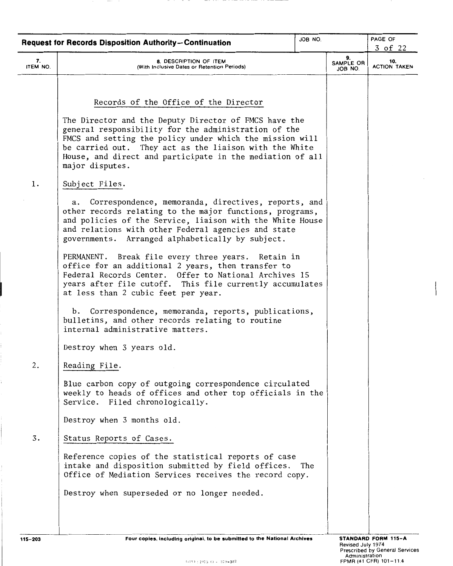|                | JOB NO.<br><b>Request for Records Disposition Authority-Continuation</b>                                                                                                                                                                                                                                            |  |                            | PAGE OF<br>3 of 22         |
|----------------|---------------------------------------------------------------------------------------------------------------------------------------------------------------------------------------------------------------------------------------------------------------------------------------------------------------------|--|----------------------------|----------------------------|
| 7.<br>ITEM NO. | 8. DESCRIPTION OF ITEM<br>(With Inclusive Dates or Retention Periods)                                                                                                                                                                                                                                               |  | 9.<br>SAMPLE OR<br>JOB NO. | 10.<br><b>ACTION TAKEN</b> |
|                |                                                                                                                                                                                                                                                                                                                     |  |                            |                            |
|                | Records of the Office of the Director                                                                                                                                                                                                                                                                               |  |                            |                            |
|                | The Director and the Deputy Director of FMCS have the<br>general responsibility for the administration of the<br>FMCS and setting the policy under which the mission will<br>be carried out. They act as the liaison with the White<br>House, and direct and participate in the mediation of all<br>major disputes. |  |                            |                            |
| 1.             | Subject Files.                                                                                                                                                                                                                                                                                                      |  |                            |                            |
|                | Correspondence, memoranda, directives, reports, and<br>а.<br>other records relating to the major functions, programs,<br>and policies of the Service, liaison with the White House<br>and relations with other Federal agencies and state<br>governments. Arranged alphabetically by subject.                       |  |                            |                            |
|                | PERMANENT. Break file every three years. Retain in<br>office for an additional 2 years, then transfer to<br>Federal Records Center. Offer to National Archives 15<br>years after file cutoff. This file currently accumulates<br>at less than 2 cubic feet per year.                                                |  |                            |                            |
|                | Correspondence, memoranda, reports, publications,<br>b.<br>bulletins, and other records relating to routine<br>internal administrative matters.                                                                                                                                                                     |  |                            |                            |
|                | Destroy when 3 years old.                                                                                                                                                                                                                                                                                           |  |                            |                            |
| 2.             | Reading File.                                                                                                                                                                                                                                                                                                       |  |                            |                            |
|                | Blue carbon copy of outgoing correspondence circulated<br>weekly to heads of offices and other top officials in the<br>Service. Filed chronologically.                                                                                                                                                              |  |                            |                            |
|                | Destroy when 3 months old.                                                                                                                                                                                                                                                                                          |  |                            |                            |
| 3.             | Status Reports of Cases.                                                                                                                                                                                                                                                                                            |  |                            |                            |
|                | Reference copies of the statistical reports of case<br>intake and disposition submitted by field offices. The<br>Office of Mediation Services receives the record copy.                                                                                                                                             |  |                            |                            |
|                | Destroy when superseded or no longer needed.                                                                                                                                                                                                                                                                        |  |                            |                            |
|                |                                                                                                                                                                                                                                                                                                                     |  |                            |                            |
|                |                                                                                                                                                                                                                                                                                                                     |  |                            |                            |

í.

Revised July 1974 Prescribed by General Services Administration FPMR (41 CFR) 101-11.4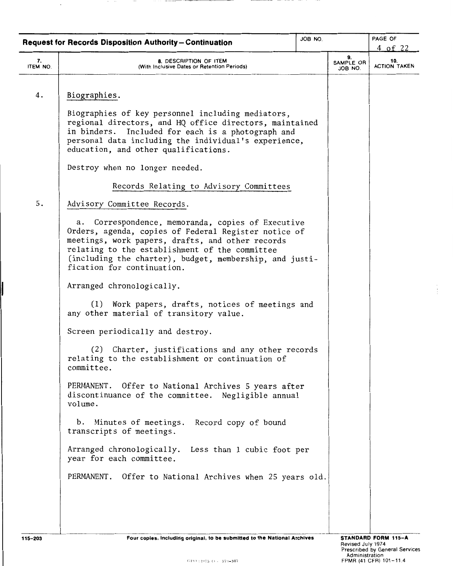|                | JOB NO.<br><b>Request for Records Disposition Authority-Continuation</b>                                                                                                                                                                                                                                    |  |                            | PAGE OF<br>$4$ of 22       |
|----------------|-------------------------------------------------------------------------------------------------------------------------------------------------------------------------------------------------------------------------------------------------------------------------------------------------------------|--|----------------------------|----------------------------|
| 7.<br>ITEM NO. | 8. DESCRIPTION OF ITEM<br>(With Inclusive Dates or Retention Periods)                                                                                                                                                                                                                                       |  | 9.<br>SAMPLE OR<br>JOB NO. | 10.<br><b>ACTION TAKEN</b> |
| 4.             | Biographies.                                                                                                                                                                                                                                                                                                |  |                            |                            |
|                | Biographies of key personnel including mediators,<br>regional directors, and HQ office directors, maintained<br>in binders.<br>Included for each is a photograph and<br>personal data including the individual's experience,<br>education, and other qualifications.                                        |  |                            |                            |
|                | Destroy when no longer needed.                                                                                                                                                                                                                                                                              |  |                            |                            |
|                | Records Relating to Advisory Committees                                                                                                                                                                                                                                                                     |  |                            |                            |
| 5.             | Advisory Committee Records.                                                                                                                                                                                                                                                                                 |  |                            |                            |
|                | Correspondence, memoranda, copies of Executive<br>а.<br>Orders, agenda, copies of Federal Register notice of<br>meetings, work papers, drafts, and other records<br>relating to the establishment of the committee<br>(including the charter), budget, membership, and justi-<br>fication for continuation. |  |                            |                            |
|                | Arranged chronologically.                                                                                                                                                                                                                                                                                   |  |                            |                            |
|                | Work papers, drafts, notices of meetings and<br>(1)<br>any other material of transitory value.                                                                                                                                                                                                              |  |                            |                            |
|                | Screen periodically and destroy.                                                                                                                                                                                                                                                                            |  |                            |                            |
|                | (2)<br>Charter, justifications and any other records<br>relating to the establishment or continuation of<br>committee.                                                                                                                                                                                      |  |                            |                            |
|                | PERMANENT. Offer to National Archives 5 years after<br>discontinuance of the committee. Negligible annual<br>volume.                                                                                                                                                                                        |  |                            |                            |
|                | Minutes of meetings. Record copy of bound<br>b.<br>transcripts of meetings.                                                                                                                                                                                                                                 |  |                            |                            |
|                | Arranged chronologically. Less than 1 cubic foot per<br>year for each committee.                                                                                                                                                                                                                            |  |                            |                            |
|                | PERMANENT. Offer to National Archives when 25 years old.                                                                                                                                                                                                                                                    |  |                            |                            |
|                |                                                                                                                                                                                                                                                                                                             |  |                            |                            |
|                |                                                                                                                                                                                                                                                                                                             |  |                            |                            |

 $\ddot{\phantom{a}}$ 

⊥

 $\frac{1}{2}$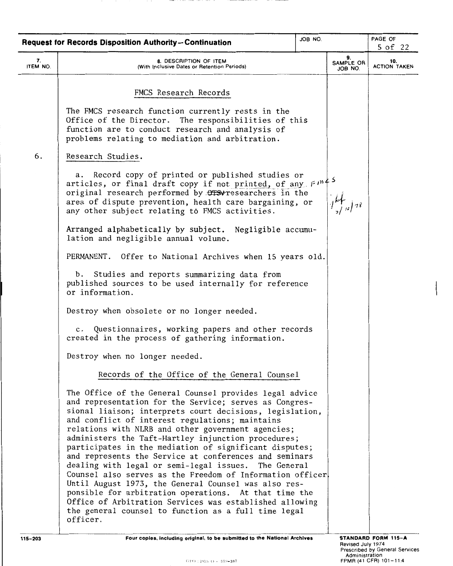|                | JOB NO<br><b>Request for Records Disposition Authority-Continuation</b>                                                                                                                                                                                                                                                                                                                                                                                                                                                                                                                                                                                                                                                                                                                                                                |  |                            | PAGE OF<br>5 of 22         |
|----------------|----------------------------------------------------------------------------------------------------------------------------------------------------------------------------------------------------------------------------------------------------------------------------------------------------------------------------------------------------------------------------------------------------------------------------------------------------------------------------------------------------------------------------------------------------------------------------------------------------------------------------------------------------------------------------------------------------------------------------------------------------------------------------------------------------------------------------------------|--|----------------------------|----------------------------|
| 7.<br>ITEM NO. | 8. DESCRIPTION OF ITEM<br>(With Inclusive Dates or Retention Periods)                                                                                                                                                                                                                                                                                                                                                                                                                                                                                                                                                                                                                                                                                                                                                                  |  | 9.<br>SAMPLE OR<br>JOB NO. | 10.<br><b>ACTION TAKEN</b> |
|                | FMCS Research Records                                                                                                                                                                                                                                                                                                                                                                                                                                                                                                                                                                                                                                                                                                                                                                                                                  |  |                            |                            |
|                | The FMCS research function currently rests in the<br>Office of the Director. The responsibilities of this<br>function are to conduct research and analysis of<br>problems relating to mediation and arbitration.                                                                                                                                                                                                                                                                                                                                                                                                                                                                                                                                                                                                                       |  |                            |                            |
| 6.             | Research Studies.                                                                                                                                                                                                                                                                                                                                                                                                                                                                                                                                                                                                                                                                                                                                                                                                                      |  |                            |                            |
|                | Record copy of printed or published studies or<br>а.<br>articles, or final draft copy if not printed, of any $F^{m}$ .<br>original research performed by OTSV researchers in the<br>area of dispute prevention, health care bargaining, or<br>any other subject relating to FMCS activities.                                                                                                                                                                                                                                                                                                                                                                                                                                                                                                                                           |  |                            |                            |
|                | Arranged alphabetically by subject. Negligible accumu-<br>lation and negligible annual volume.                                                                                                                                                                                                                                                                                                                                                                                                                                                                                                                                                                                                                                                                                                                                         |  |                            |                            |
|                | PERMANENT. Offer to National Archives when 15 years old.                                                                                                                                                                                                                                                                                                                                                                                                                                                                                                                                                                                                                                                                                                                                                                               |  |                            |                            |
|                | b. Studies and reports summarizing data from<br>published sources to be used internally for reference<br>or information.                                                                                                                                                                                                                                                                                                                                                                                                                                                                                                                                                                                                                                                                                                               |  |                            |                            |
|                | Destroy when obsolete or no longer needed.                                                                                                                                                                                                                                                                                                                                                                                                                                                                                                                                                                                                                                                                                                                                                                                             |  |                            |                            |
|                | c. Questionnaires, working papers and other records<br>created in the process of gathering information.                                                                                                                                                                                                                                                                                                                                                                                                                                                                                                                                                                                                                                                                                                                                |  |                            |                            |
|                | Destroy when no longer needed.                                                                                                                                                                                                                                                                                                                                                                                                                                                                                                                                                                                                                                                                                                                                                                                                         |  |                            |                            |
|                | Records of the Office of the General Counsel                                                                                                                                                                                                                                                                                                                                                                                                                                                                                                                                                                                                                                                                                                                                                                                           |  |                            |                            |
|                | The Office of the General Counsel provides legal advice<br>and representation for the Service; serves as Congres-<br>sional liaison; interprets court decisions, legislation,<br>and conflict of interest regulations; maintains<br>relations with NLRB and other government agencies;<br>administers the Taft-Hartley injunction procedures;<br>participates in the mediation of significant disputes;<br>and represents the Service at conferences and seminars<br>dealing with legal or semi-legal issues. The General<br>Counsel also serves as the Freedom of Information officer<br>Until August 1973, the General Counsel was also res-<br>ponsible for arbitration operations. At that time the<br>Office of Arbitration Services was established allowing<br>the general counsel to function as a full time legal<br>officer. |  |                            |                            |
|                |                                                                                                                                                                                                                                                                                                                                                                                                                                                                                                                                                                                                                                                                                                                                                                                                                                        |  |                            |                            |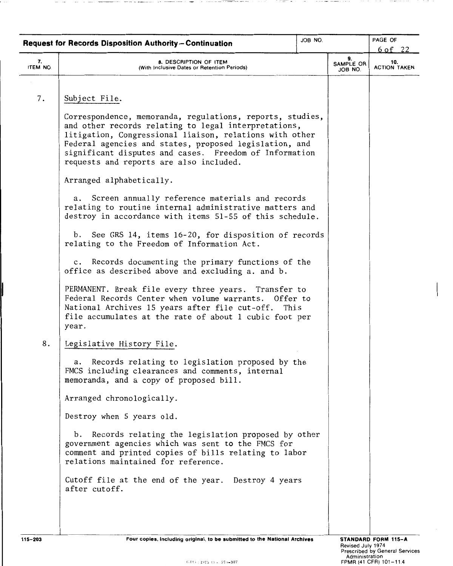|                | JOB NO.<br><b>Request for Records Disposition Authority-Continuation</b>                                                                                                                                                                                                                                          |  |                            | PAGE OF                                 |
|----------------|-------------------------------------------------------------------------------------------------------------------------------------------------------------------------------------------------------------------------------------------------------------------------------------------------------------------|--|----------------------------|-----------------------------------------|
| 7.<br>ITEM NO. | 8. DESCRIPTION OF ITEM<br>(With Inclusive Dates or Retention Periods)                                                                                                                                                                                                                                             |  | 9.<br>SAMPLE OR<br>JOB NO. | $6$ of 22<br>10.<br><b>ACTION TAKEN</b> |
| 7.             | Subject File.<br>Correspondence, memoranda, regulations, reports, studies,<br>and other records relating to legal interpretations,<br>litigation, Congressional liaison, relations with other<br>Federal agencies and states, proposed legislation, and<br>significant disputes and cases. Freedom of Information |  |                            |                                         |
|                | requests and reports are also included.<br>Arranged alphabetically.                                                                                                                                                                                                                                               |  |                            |                                         |
|                | Screen annually reference materials and records<br>а.<br>relating to routine internal administrative matters and<br>destroy in accordance with items 51-55 of this schedule.                                                                                                                                      |  |                            |                                         |
|                | See GRS 14, items 16-20, for disposition of records<br>b.<br>relating to the Freedom of Information Act.                                                                                                                                                                                                          |  |                            |                                         |
|                | c. Records documenting the primary functions of the<br>office as described above and excluding a. and b.                                                                                                                                                                                                          |  |                            |                                         |
|                | PERMANENT. Break file every three years. Transfer to<br>Federal Records Center when volume warrants. Offer to<br>National Archives 15 years after file cut-off.<br>This<br>file accumulates at the rate of about 1 cubic foot per<br>year.                                                                        |  |                            |                                         |
| 8.             | Legislative History File.                                                                                                                                                                                                                                                                                         |  |                            |                                         |
|                | Records relating to legislation proposed by the<br>а.<br>FMCS including clearances and comments, internal<br>memoranda, and a copy of proposed bill.                                                                                                                                                              |  |                            |                                         |
|                | Arranged chronologically.                                                                                                                                                                                                                                                                                         |  |                            |                                         |
|                | Destroy when 5 years old.                                                                                                                                                                                                                                                                                         |  |                            |                                         |
|                | b. Records relating the legislation proposed by other<br>government agencies which was sent to the FMCS for<br>comment and printed copies of bills relating to labor<br>relations maintained for reference.                                                                                                       |  |                            |                                         |
|                | Cutoff file at the end of the year. Destroy 4 years<br>after cutoff.                                                                                                                                                                                                                                              |  |                            |                                         |
|                |                                                                                                                                                                                                                                                                                                                   |  |                            |                                         |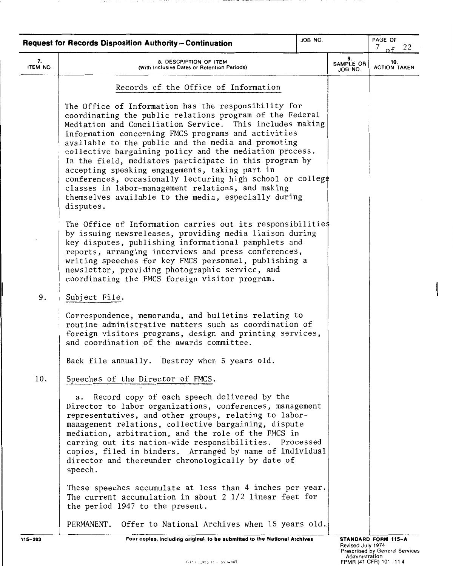|                | <b>Request for Records Disposition Authority-Continuation</b>                                                                                                                                                                                                                                                                                                                                                                                                                                                                                                                                                                                                | JOB NO. |                            | PAGE OF<br>$7$ of<br>22    |
|----------------|--------------------------------------------------------------------------------------------------------------------------------------------------------------------------------------------------------------------------------------------------------------------------------------------------------------------------------------------------------------------------------------------------------------------------------------------------------------------------------------------------------------------------------------------------------------------------------------------------------------------------------------------------------------|---------|----------------------------|----------------------------|
| 7.<br>ITEM NO. | 8. DESCRIPTION OF ITEM<br>(With Inclusive Dates or Retention Periods)                                                                                                                                                                                                                                                                                                                                                                                                                                                                                                                                                                                        |         | 9.<br>SAMPLE OR<br>JOB NO. | 10.<br><b>ACTION TAKEN</b> |
|                | Records of the Office of Information                                                                                                                                                                                                                                                                                                                                                                                                                                                                                                                                                                                                                         |         |                            |                            |
|                | The Office of Information has the responsibility for<br>coordinating the public relations program of the Federal<br>Mediation and Conciliation Service.<br>This includes making<br>information concerning FMCS programs and activities<br>available to the public and the media and promoting<br>collective bargaining policy and the mediation process.<br>In the field, mediators participate in this program by<br>accepting speaking engagements, taking part in<br>conferences, occasionally lecturing high school or college<br>classes in labor-management relations, and making<br>themselves available to the media, especially during<br>disputes. |         |                            |                            |
|                | The Office of Information carries out its responsibilities<br>by issuing newsreleases, providing media liaison during<br>key disputes, publishing informational pamphlets and<br>reports, arranging interviews and press conferences,<br>writing speeches for key FMCS personnel, publishing a<br>newsletter, providing photographic service, and<br>coordinating the FMCS foreign visitor program.                                                                                                                                                                                                                                                          |         |                            |                            |
| 9.             | Subject File.                                                                                                                                                                                                                                                                                                                                                                                                                                                                                                                                                                                                                                                |         |                            |                            |
|                | Correspondence, memoranda, and bulletins relating to<br>routine administrative matters such as coordination of<br>foreign visitors programs, design and printing services,<br>and coordination of the awards committee.                                                                                                                                                                                                                                                                                                                                                                                                                                      |         |                            |                            |
|                | Back file annually. Destroy when 5 years old.                                                                                                                                                                                                                                                                                                                                                                                                                                                                                                                                                                                                                |         |                            |                            |
| 10.            | Speeches of the Director of FMCS.                                                                                                                                                                                                                                                                                                                                                                                                                                                                                                                                                                                                                            |         |                            |                            |
|                | a. Record copy of each speech delivered by the<br>Director to labor organizations, conferences, management<br>representatives, and other groups, relating to labor-<br>management relations, collective bargaining, dispute<br>mediation, arbitration, and the role of the FMCS in<br>carring out its nation-wide responsibilities. Processed<br>copies, filed in binders. Arranged by name of individual<br>director and thereunder chronologically by date of<br>speech.                                                                                                                                                                                   |         |                            |                            |
|                | These speeches accumulate at less than 4 inches per year.<br>The current accumulation in about $2\frac{1}{2}$ linear feet for<br>the period 1947 to the present.                                                                                                                                                                                                                                                                                                                                                                                                                                                                                             |         |                            |                            |
|                | PERMANENT. Offer to National Archives when 15 years old.                                                                                                                                                                                                                                                                                                                                                                                                                                                                                                                                                                                                     |         |                            |                            |

 $\sim$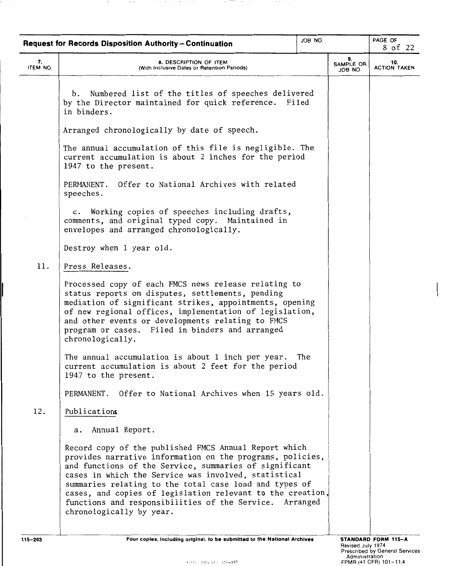| JOB NO.<br><b>Request for Records Disposition Authority-Continuation</b> |                                                                                                                                                                                                                                                                                                                                                                                                                                                     |     | PAGE OF<br>8 of 22         |                            |
|--------------------------------------------------------------------------|-----------------------------------------------------------------------------------------------------------------------------------------------------------------------------------------------------------------------------------------------------------------------------------------------------------------------------------------------------------------------------------------------------------------------------------------------------|-----|----------------------------|----------------------------|
| 7.<br>ITEM NO.                                                           | <b>8. DESCRIPTION OF ITEM</b><br>(With Inclusive Dates or Retention Periods)                                                                                                                                                                                                                                                                                                                                                                        |     | 9.<br>SAMPLE OR<br>JOB NO. | 10.<br><b>ACTION TAKEN</b> |
|                                                                          | Numbered list of the titles of speeches delivered<br>b.<br>by the Director maintained for quick reference.<br>Filed<br>in binders.                                                                                                                                                                                                                                                                                                                  |     |                            |                            |
|                                                                          | Arranged chronologically by date of speech.                                                                                                                                                                                                                                                                                                                                                                                                         |     |                            |                            |
|                                                                          | The annual accumulation of this file is negligible. The<br>current accumulation is about 2 inches for the period<br>1947 to the present.                                                                                                                                                                                                                                                                                                            |     |                            |                            |
|                                                                          | Offer to National Archives with related<br>PERMANENT.<br>speeches.                                                                                                                                                                                                                                                                                                                                                                                  |     |                            |                            |
|                                                                          | c. Working copies of speeches including drafts,<br>comments, and original typed copy. Maintained in<br>envelopes and arranged chronologically.                                                                                                                                                                                                                                                                                                      |     |                            |                            |
|                                                                          | Destroy when 1 year old.                                                                                                                                                                                                                                                                                                                                                                                                                            |     |                            |                            |
| 11.                                                                      | Press Releases.                                                                                                                                                                                                                                                                                                                                                                                                                                     |     |                            |                            |
|                                                                          | Processed copy of each FMCS news release relating to<br>status reports on disputes, settlements, pending<br>mediation of significant strikes, appointments, opening<br>of new regional offices, implementation of legislation,<br>and other events or developments relating to FMCS<br>program or cases. Filed in binders and arranged<br>chronologically.                                                                                          |     |                            |                            |
|                                                                          | The annual accumulation is about 1 inch per year.<br>current accumulation is about 2 feet for the period<br>1947 to the present.                                                                                                                                                                                                                                                                                                                    | The |                            |                            |
|                                                                          | PERMANENT. Offer to National Archives when 15 years old.                                                                                                                                                                                                                                                                                                                                                                                            |     |                            |                            |
| 12.                                                                      | Publications                                                                                                                                                                                                                                                                                                                                                                                                                                        |     |                            |                            |
|                                                                          | Annual Report.<br>а.                                                                                                                                                                                                                                                                                                                                                                                                                                |     |                            |                            |
|                                                                          | Record copy of the published FMCS Annual Report which<br>provides narrative information on the programs, policies,<br>and functions of the Service, summaries of significant<br>cases in which the Service was involved, statistical<br>summaries relating to the total case load and types of<br>cases, and copies of legislation relevant to the creation,<br>functions and responsibilities of the Service. Arranged<br>chronologically by year. |     |                            |                            |

 $\sim$  -  $\sim$ 

 $\sim$   $-$ 

 $\mathcal{A} \times \mathcal{A} \times \mathcal{A} \times \mathcal{A} \times \mathcal{A}$ 

 $\sim$  $\sim$   $\sim$   $\sim$ 

 $\sim$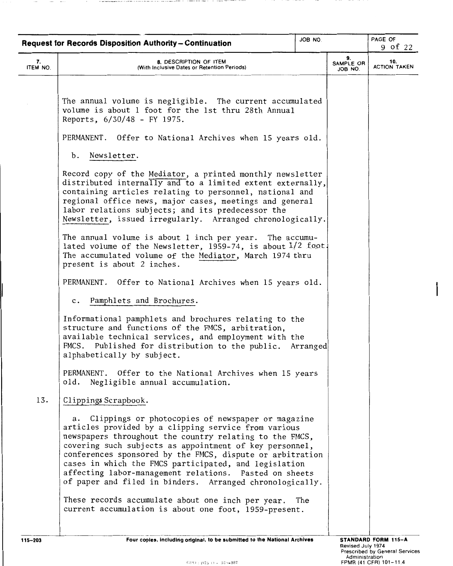|                | <b>Request for Records Disposition Authority-Continuation</b>                                                                                                                                                                                                                                                                                                                                                                                                                                                                              | JOB NO. |                            | PAGE OF<br>9 of 22         |
|----------------|--------------------------------------------------------------------------------------------------------------------------------------------------------------------------------------------------------------------------------------------------------------------------------------------------------------------------------------------------------------------------------------------------------------------------------------------------------------------------------------------------------------------------------------------|---------|----------------------------|----------------------------|
| 7.<br>ITEM NO. | 8. DESCRIPTION OF ITEM<br>(With Inclusive Dates or Retention Periods)                                                                                                                                                                                                                                                                                                                                                                                                                                                                      |         | 9.<br>SAMPLE OR<br>JOB NO. | 10.<br><b>ACTION TAKEN</b> |
|                |                                                                                                                                                                                                                                                                                                                                                                                                                                                                                                                                            |         |                            |                            |
|                | The annual volume is negligible. The current accumulated<br>volume is about 1 foot for the 1st thru 28th Annual<br>Reports, 6/30/48 - FY 1975.                                                                                                                                                                                                                                                                                                                                                                                             |         |                            |                            |
|                | PERMANENT. Offer to National Archives when 15 years old.                                                                                                                                                                                                                                                                                                                                                                                                                                                                                   |         |                            |                            |
|                | b. Newsletter.                                                                                                                                                                                                                                                                                                                                                                                                                                                                                                                             |         |                            |                            |
|                | Record copy of the Mediator, a printed monthly newsletter<br>distributed internally and to a limited extent externally,<br>containing articles relating to personnel, national and<br>regional office news, major cases, meetings and general<br>labor relations subjects; and its predecessor the<br>Newsletter, issued irregularly. Arranged chronologically.                                                                                                                                                                            |         |                            |                            |
|                | The annual volume is about 1 inch per year. The accumu-<br>lated volume of the Newsletter, 1959-74, is about 1/2 foot.<br>The accumulated volume of the Mediator, March 1974 thru<br>present is about 2 inches.                                                                                                                                                                                                                                                                                                                            |         |                            |                            |
|                | PERMANENT. Offer to National Archives when 15 years old.                                                                                                                                                                                                                                                                                                                                                                                                                                                                                   |         |                            |                            |
|                | c. Pamphlets and Brochures.                                                                                                                                                                                                                                                                                                                                                                                                                                                                                                                |         |                            |                            |
|                | Informational pamphlets and brochures relating to the<br>structure and functions of the FMCS, arbitration,<br>available technical services, and employment with the<br>FMCS. Published for distribution to the public. Arranged<br>alphabetically by subject.                                                                                                                                                                                                                                                                              |         |                            |                            |
|                | PERMANENT. Offer to the National Archives when 15 years<br>old.<br>Negligible annual accumulation.                                                                                                                                                                                                                                                                                                                                                                                                                                         |         |                            |                            |
| 13.            | Clippings Scrapbook.                                                                                                                                                                                                                                                                                                                                                                                                                                                                                                                       |         |                            |                            |
|                | Clippings or photocopies of newspaper or magazine<br>а.<br>articles provided by a clipping service from various<br>newspapers throughout the country relating to the FMCS,<br>covering such subjects as appointment of key personnel,<br>conferences sponsored by the FMCS, dispute or arbitration<br>cases in which the FMCS participated, and legislation<br>affecting labor-management relations. Pasted on sheets<br>of paper and filed in binders. Arranged chronologically.<br>These records accumulate about one inch per year. The |         |                            |                            |
|                | current accumulation is about one foot, 1959-present.                                                                                                                                                                                                                                                                                                                                                                                                                                                                                      |         |                            |                            |

**Britain**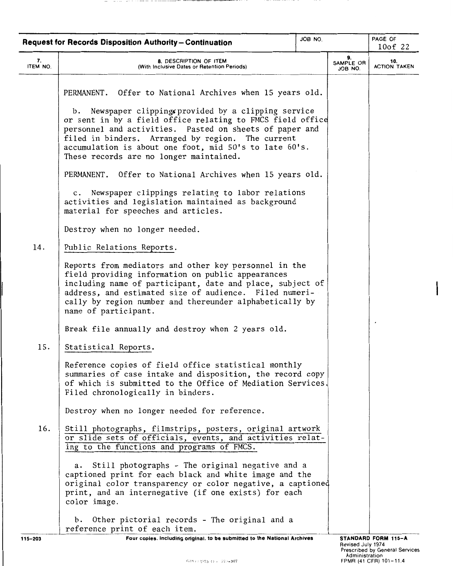|                | <b>Request for Records Disposition Authority-Continuation</b>                                                                                                                                                                                                                                                                                                                                                                                                                                                                                                                                                        | JOB NO. |                            | PAGE OF<br>10of 22         |
|----------------|----------------------------------------------------------------------------------------------------------------------------------------------------------------------------------------------------------------------------------------------------------------------------------------------------------------------------------------------------------------------------------------------------------------------------------------------------------------------------------------------------------------------------------------------------------------------------------------------------------------------|---------|----------------------------|----------------------------|
| 7.<br>ITEM NO. | 8. DESCRIPTION OF ITEM<br>(With Inclusive Dates or Retention Periods)                                                                                                                                                                                                                                                                                                                                                                                                                                                                                                                                                |         | 9.<br>SAMPLE OR<br>JOB NO. | 10.<br><b>ACTION TAKEN</b> |
|                | PERMANENT. Offer to National Archives when 15 years old.<br>b. Newspaper clippings provided by a clipping service<br>or sent in by a field office relating to FMCS field office<br>personnel and activities. Pasted on sheets of paper and<br>filed in binders. Arranged by region. The current<br>accumulation is about one foot, mid 50's to late 60's.<br>These records are no longer maintained.<br>PERMANENT. Offer to National Archives when 15 years old.<br>c. Newspaper clippings relating to labor relations<br>activities and legislation maintained as background<br>material for speeches and articles. |         |                            |                            |
| 14.            | Destroy when no longer needed.                                                                                                                                                                                                                                                                                                                                                                                                                                                                                                                                                                                       |         |                            |                            |
|                | Public Relations Reports.<br>Reports from mediators and other key personnel in the<br>field providing information on public appearances<br>including name of participant, date and place, subject of<br>address, and estimated size of audience. Filed numeri-<br>cally by region number and thereunder alphabetically by<br>name of participant.                                                                                                                                                                                                                                                                    |         |                            |                            |
|                | Break file annually and destroy when 2 years old.                                                                                                                                                                                                                                                                                                                                                                                                                                                                                                                                                                    |         |                            |                            |
| 15.            | Statistical Reports.<br>Reference copies of field office statistical monthly<br>summaries of case intake and disposition, the record copy<br>of which is submitted to the Office of Mediation Services.<br>Filed chronologically in binders.                                                                                                                                                                                                                                                                                                                                                                         |         |                            |                            |
|                | Destroy when no longer needed for reference.                                                                                                                                                                                                                                                                                                                                                                                                                                                                                                                                                                         |         |                            |                            |
| 16.            | Still photographs, filmstrips, posters, original artwork<br>or slide sets of officials, events, and activities relat-<br>ing to the functions and programs of FMCS.                                                                                                                                                                                                                                                                                                                                                                                                                                                  |         |                            |                            |
|                | Still photographs - The original negative and a<br>а.<br>captioned print for each black and white image and the<br>original color transparency or color negative, a captioned<br>print, and an internegative (if one exists) for each<br>color image.                                                                                                                                                                                                                                                                                                                                                                |         |                            |                            |
|                | Other pictorial records - The original and a<br>b.<br>reference print of each item.                                                                                                                                                                                                                                                                                                                                                                                                                                                                                                                                  |         |                            |                            |
| 115-203        | Four copies, including original, to be submitted to the National Archives                                                                                                                                                                                                                                                                                                                                                                                                                                                                                                                                            |         |                            | STANDARD FORM 115-A        |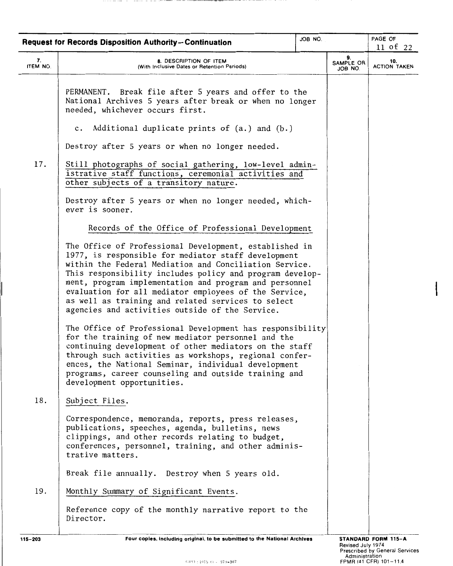|                | <b>Request for Records Disposition Authority-Continuation</b>                                                                                                                                                                                                                                                                                                                                                                                                   | JOB NO. |                            | PAGE OF<br>11 of 22        |
|----------------|-----------------------------------------------------------------------------------------------------------------------------------------------------------------------------------------------------------------------------------------------------------------------------------------------------------------------------------------------------------------------------------------------------------------------------------------------------------------|---------|----------------------------|----------------------------|
| 7.<br>ITEM NO. | 8. DESCRIPTION OF ITEM<br>(With Inclusive Dates or Retention Periods)                                                                                                                                                                                                                                                                                                                                                                                           |         | 9.<br>SAMPLE OR<br>JOB NO. | 10.<br><b>ACTION TAKEN</b> |
|                | PERMANENT. Break file after 5 years and offer to the<br>National Archives 5 years after break or when no longer<br>needed, whichever occurs first.                                                                                                                                                                                                                                                                                                              |         |                            |                            |
|                | c. Additional duplicate prints of (a.) and (b.)                                                                                                                                                                                                                                                                                                                                                                                                                 |         |                            |                            |
|                | Destroy after 5 years or when no longer needed.                                                                                                                                                                                                                                                                                                                                                                                                                 |         |                            |                            |
| 17.            | Still photographs of social gathering, low-level admin-<br>istrative staff functions, ceremonial activities and<br>other subjects of a transitory nature.                                                                                                                                                                                                                                                                                                       |         |                            |                            |
|                | Destroy after 5 years or when no longer needed, which-<br>ever is sooner.                                                                                                                                                                                                                                                                                                                                                                                       |         |                            |                            |
|                | Records of the Office of Professional Development                                                                                                                                                                                                                                                                                                                                                                                                               |         |                            |                            |
|                | The Office of Professional Development, established in<br>1977, is responsible for mediator staff development<br>within the Federal Mediation and Conciliation Service.<br>This responsibility includes policy and program develop-<br>ment, program implementation and program and personnel<br>evaluation for all mediator employees of the Service,<br>as well as training and related services to select<br>agencies and activities outside of the Service. |         |                            |                            |
|                | The Office of Professional Development has responsibility<br>for the training of new mediator personnel and the<br>continuing development of other mediators on the staff<br>through such activities as workshops, regional confer-<br>ences, the National Seminar, individual development<br>programs, career counseling and outside training and<br>development opportunities.                                                                                |         |                            |                            |
| 18.            | Subject Files.                                                                                                                                                                                                                                                                                                                                                                                                                                                  |         |                            |                            |
|                | Correspondence, memoranda, reports, press releases,<br>publications, speeches, agenda, bulletins, news<br>clippings, and other records relating to budget,<br>conferences, personnel, training, and other adminis-<br>trative matters.                                                                                                                                                                                                                          |         |                            |                            |
|                | Break file annually. Destroy when 5 years old.                                                                                                                                                                                                                                                                                                                                                                                                                  |         |                            |                            |
| 19.            | Monthly Summary of Significant Events.                                                                                                                                                                                                                                                                                                                                                                                                                          |         |                            |                            |
|                | Reference copy of the monthly narrative report to the<br>Director.                                                                                                                                                                                                                                                                                                                                                                                              |         |                            |                            |
|                |                                                                                                                                                                                                                                                                                                                                                                                                                                                                 |         |                            |                            |

A R. P. LEWIS CO., LANSING MICH.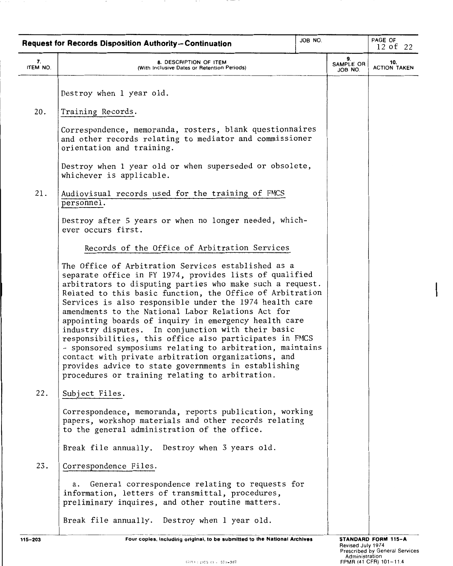|          | <b>Request for Records Disposition Authority-Continuation</b>                                                                                                                                                                                                                                                                                                                                                                                                                                                                                                                                                                                                                                                                                                      | JOB NO. |                      | PAGE OF                    |
|----------|--------------------------------------------------------------------------------------------------------------------------------------------------------------------------------------------------------------------------------------------------------------------------------------------------------------------------------------------------------------------------------------------------------------------------------------------------------------------------------------------------------------------------------------------------------------------------------------------------------------------------------------------------------------------------------------------------------------------------------------------------------------------|---------|----------------------|----------------------------|
| 7.       |                                                                                                                                                                                                                                                                                                                                                                                                                                                                                                                                                                                                                                                                                                                                                                    |         | 9.                   | 12 of 22                   |
| ITEM NO. | 8. DESCRIPTION OF ITEM<br>(With Inclusive Dates or Retention Periods)                                                                                                                                                                                                                                                                                                                                                                                                                                                                                                                                                                                                                                                                                              |         | SAMPLE OR<br>JOB NO. | 10.<br><b>ACTION TAKEN</b> |
|          | Destroy when 1 year old.                                                                                                                                                                                                                                                                                                                                                                                                                                                                                                                                                                                                                                                                                                                                           |         |                      |                            |
| 20.      | Training Records.                                                                                                                                                                                                                                                                                                                                                                                                                                                                                                                                                                                                                                                                                                                                                  |         |                      |                            |
|          | Correspondence, memoranda, rosters, blank questionnaires<br>and other records relating to mediator and commissioner<br>orientation and training.                                                                                                                                                                                                                                                                                                                                                                                                                                                                                                                                                                                                                   |         |                      |                            |
|          | Destroy when 1 year old or when superseded or obsolete,<br>whichever is applicable.                                                                                                                                                                                                                                                                                                                                                                                                                                                                                                                                                                                                                                                                                |         |                      |                            |
| 21.      | Audiovisual records used for the training of FMCS<br>personnel.                                                                                                                                                                                                                                                                                                                                                                                                                                                                                                                                                                                                                                                                                                    |         |                      |                            |
|          | Destroy after 5 years or when no longer needed, which-<br>ever occurs first.                                                                                                                                                                                                                                                                                                                                                                                                                                                                                                                                                                                                                                                                                       |         |                      |                            |
|          | Records of the Office of Arbitration Services                                                                                                                                                                                                                                                                                                                                                                                                                                                                                                                                                                                                                                                                                                                      |         |                      |                            |
|          | The Office of Arbitration Services established as a<br>separate office in FY 1974, provides lists of qualified<br>arbitrators to disputing parties who make such a request.<br>Related to this basic function, the Office of Arbitration<br>Services is also responsible under the 1974 health care<br>amendments to the National Labor Relations Act for<br>appointing boards of inquiry in emergency health care<br>industry disputes. In conjunction with their basic<br>responsibilities, this office also participates in FMCS<br>- sponsored symposiums relating to arbitration, maintains<br>contact with private arbitration organizations, and<br>provides advice to state governments in establishing<br>procedures or training relating to arbitration. |         |                      |                            |
| 22.      | Subject Files.                                                                                                                                                                                                                                                                                                                                                                                                                                                                                                                                                                                                                                                                                                                                                     |         |                      |                            |
|          | Correspondence, memoranda, reports publication, working<br>papers, workshop materials and other records relating<br>to the general administration of the office.                                                                                                                                                                                                                                                                                                                                                                                                                                                                                                                                                                                                   |         |                      |                            |
|          | Break file annually. Destroy when 3 years old.                                                                                                                                                                                                                                                                                                                                                                                                                                                                                                                                                                                                                                                                                                                     |         |                      |                            |
| 23.      | Correspondence Files.                                                                                                                                                                                                                                                                                                                                                                                                                                                                                                                                                                                                                                                                                                                                              |         |                      |                            |
|          | General correspondence relating to requests for<br>а.<br>information, letters of transmittal, procedures,<br>preliminary inquires, and other routine matters.                                                                                                                                                                                                                                                                                                                                                                                                                                                                                                                                                                                                      |         |                      |                            |
|          | Break file annually. Destroy when 1 year old.                                                                                                                                                                                                                                                                                                                                                                                                                                                                                                                                                                                                                                                                                                                      |         |                      |                            |

 $\sim$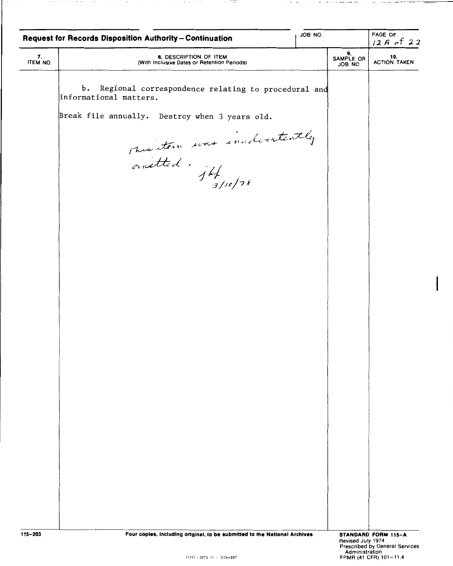|                | JOB NO.<br>Request for Records Disposition Authority-Continuation                                  |  |                                     | PAGE OF<br>$12A$ of 22                                                                        |
|----------------|----------------------------------------------------------------------------------------------------|--|-------------------------------------|-----------------------------------------------------------------------------------------------|
| 7.<br>ITEM NO. | 8. DESCRIPTION OF ITEM<br>(With Inclusive Dates or Retention Periods)                              |  | 9.<br>SAMPLE OR<br>JOB NO.          | 10.<br>ACTION TAKEN                                                                           |
|                | Ъ.<br>Regional correspondence relating to procedural and<br>informational matters.                 |  |                                     |                                                                                               |
|                | Break file annually. Destroy when 3 years old.                                                     |  |                                     |                                                                                               |
|                |                                                                                                    |  |                                     |                                                                                               |
|                | This stem was inadvertently<br>anatted : jff                                                       |  |                                     |                                                                                               |
|                |                                                                                                    |  |                                     |                                                                                               |
|                |                                                                                                    |  |                                     |                                                                                               |
|                |                                                                                                    |  |                                     |                                                                                               |
|                |                                                                                                    |  |                                     |                                                                                               |
|                |                                                                                                    |  |                                     |                                                                                               |
|                |                                                                                                    |  |                                     |                                                                                               |
|                |                                                                                                    |  |                                     |                                                                                               |
|                |                                                                                                    |  |                                     |                                                                                               |
|                |                                                                                                    |  |                                     |                                                                                               |
|                |                                                                                                    |  |                                     |                                                                                               |
|                |                                                                                                    |  |                                     |                                                                                               |
| $115 - 203$    | Four copies, including original, to be submitted to the National Archives<br>GPO: 1975 O - 579-387 |  | Revised July 1974<br>Administration | <b>STANDARD FORM 115-A</b><br><b>Prescribed by General Services</b><br>FPMR (41 CFR) 101-11.4 |

 $\cdots \cdots \cdots \cdots$ 

**CONTRACTOR** 

 $\sim$  100  $\pm$ 

 $\mathcal{A} \times \mathcal{A} \times \mathcal{A} \times \mathcal{A}$  .

**Contract Contract** 

 $\cdots$ 

I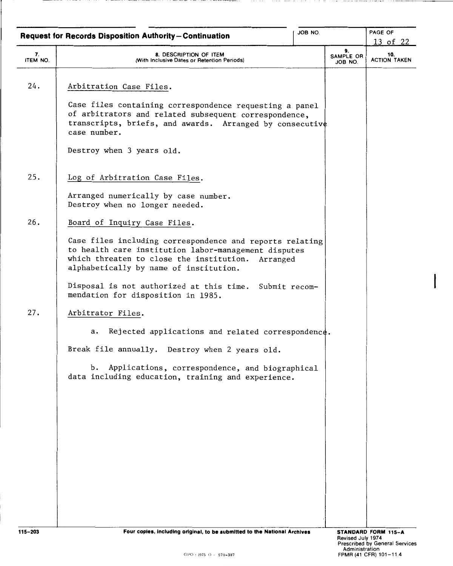|                | JOB NO.<br><b>Request for Records Disposition Authority-Continuation</b>                                                                                                                                           |  |                            | PAGE OF                                       |
|----------------|--------------------------------------------------------------------------------------------------------------------------------------------------------------------------------------------------------------------|--|----------------------------|-----------------------------------------------|
| 7.<br>ITEM NO. | 8. DESCRIPTION OF ITEM<br>(With Inclusive Dates or Retention Periods)                                                                                                                                              |  | 9.<br>SAMPLE OR<br>JOB NO. | <u>13 of 22</u><br>10.<br><b>ACTION TAKEN</b> |
| 24.            | Arbitration Case Files.                                                                                                                                                                                            |  |                            |                                               |
|                | Case files containing correspondence requesting a panel<br>of arbitrators and related subsequent correspondence,<br>transcripts, briefs, and awards. Arranged by consecutive<br>case number.                       |  |                            |                                               |
|                | Destroy when 3 years old.                                                                                                                                                                                          |  |                            |                                               |
| 25.            | Log of Arbitration Case Files.                                                                                                                                                                                     |  |                            |                                               |
|                | Arranged numerically by case number.<br>Destroy when no longer needed.                                                                                                                                             |  |                            |                                               |
| 26.            | Board of Inquiry Case Files.                                                                                                                                                                                       |  |                            |                                               |
|                | Case files including correspondence and reports relating<br>to health care institution labor-management disputes<br>which threaten to close the institution.<br>Arranged<br>alphabetically by name of institution. |  |                            |                                               |
|                | Disposal is not authorized at this time. Submit recom-<br>mendation for disposition in 1985.                                                                                                                       |  |                            |                                               |
| 27.            | Arbitrator Files.                                                                                                                                                                                                  |  |                            |                                               |
|                | Rejected applications and related correspondence.<br>а.                                                                                                                                                            |  |                            |                                               |
|                | Break file annually. Destroy when 2 years old.                                                                                                                                                                     |  |                            |                                               |
|                | Applications, correspondence, and biographical<br>b.<br>data including education, training and experience.                                                                                                         |  |                            |                                               |
|                |                                                                                                                                                                                                                    |  |                            |                                               |
|                |                                                                                                                                                                                                                    |  |                            |                                               |
|                |                                                                                                                                                                                                                    |  |                            |                                               |
|                |                                                                                                                                                                                                                    |  |                            |                                               |
|                |                                                                                                                                                                                                                    |  |                            |                                               |
|                |                                                                                                                                                                                                                    |  |                            |                                               |
| 115-202        | Eaur caping, including adalant, to be submitted to the National Archiv                                                                                                                                             |  |                            |                                               |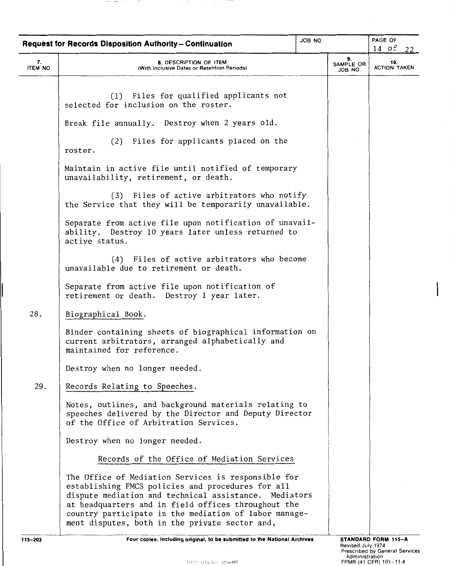|                | <b>Request for Records Disposition Authority-Continuation</b>                                                                                                                                                                                                                                                                       | JOB NO. |                            | PAGE OF<br>14 of<br>22     |
|----------------|-------------------------------------------------------------------------------------------------------------------------------------------------------------------------------------------------------------------------------------------------------------------------------------------------------------------------------------|---------|----------------------------|----------------------------|
| 7.<br>ITEM NO. | 8. DESCRIPTION OF ITEM<br>(With Inclusive Dates or Retention Periods)                                                                                                                                                                                                                                                               |         | 9.<br>SAMPLE OR<br>JOB NO. | 10.<br><b>ACTION TAKEN</b> |
|                | (1) Files for qualified applicants not<br>selected for inclusion on the roster.                                                                                                                                                                                                                                                     |         |                            |                            |
|                | Break file annually. Destroy when 2 years old.                                                                                                                                                                                                                                                                                      |         |                            |                            |
|                | (2) Files for applicants placed on the<br>roster.                                                                                                                                                                                                                                                                                   |         |                            |                            |
|                | Maintain in active file until notified of temporary<br>unavailability, retirement, or death.                                                                                                                                                                                                                                        |         |                            |                            |
|                | (3) Files of active arbitrators who notify<br>the Service that they will be temporarily unavailable.                                                                                                                                                                                                                                |         |                            |                            |
|                | Separate from active file upon notification of unavail-<br>ability. Destroy 10 years later unless returned to<br>active status.                                                                                                                                                                                                     |         |                            |                            |
|                | (4) Files of active arbitrators who become<br>unavailable due to retirement or death.                                                                                                                                                                                                                                               |         |                            |                            |
|                | Separate from active file upon notification of<br>retirement or death. Destroy 1 year later.                                                                                                                                                                                                                                        |         |                            |                            |
| 28.            | Biographical Book.                                                                                                                                                                                                                                                                                                                  |         |                            |                            |
|                | Binder containing sheets of biographical information on<br>current arbitrators, arranged alphabetically and<br>maintained for reference.                                                                                                                                                                                            |         |                            |                            |
|                | Destroy when no longer needed.                                                                                                                                                                                                                                                                                                      |         |                            |                            |
| 29.            | Records Relating to Speeches.                                                                                                                                                                                                                                                                                                       |         |                            |                            |
|                | Notes, outlines, and background materials relating to<br>speeches delivered by the Director and Deputy Director<br>of the Office of Arbitration Services.                                                                                                                                                                           |         |                            |                            |
|                | Destroy when no longer needed.                                                                                                                                                                                                                                                                                                      |         |                            |                            |
|                | Records of the Office of Mediation Services                                                                                                                                                                                                                                                                                         |         |                            |                            |
|                | The Office of Mediation Services is responsible for<br>establishing FMCS policies and procedures for all<br>dispute mediation and technical assistance. Mediators<br>at headquarters and in field offices throughout the<br>country participate in the mediation of labor manage-<br>ment disputes, both in the private sector and, |         |                            |                            |

. . . . .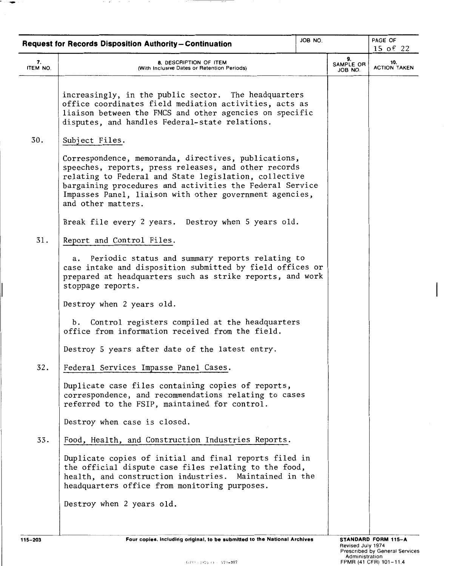| <b>Request for Records Disposition Authority-Continuation</b> |                                                                                                                                                                                                                                                                                                                    | JOB NO. |                            | PAGE OF                    |
|---------------------------------------------------------------|--------------------------------------------------------------------------------------------------------------------------------------------------------------------------------------------------------------------------------------------------------------------------------------------------------------------|---------|----------------------------|----------------------------|
|                                                               |                                                                                                                                                                                                                                                                                                                    |         |                            | 15 of 22                   |
| 7.<br>ITEM NO.                                                | 8. DESCRIPTION OF ITEM<br>(With Inclusive Dates or Retention Periods)                                                                                                                                                                                                                                              |         | 9.<br>SAMPLE OR<br>JOB NO. | 10.<br><b>ACTION TAKEN</b> |
|                                                               | increasingly, in the public sector. The headquarters<br>office coordinates field mediation activities, acts as<br>liaison between the FMCS and other agencies on specific<br>disputes, and handles Federal-state relations.                                                                                        |         |                            |                            |
| 30.                                                           | Subject Files.                                                                                                                                                                                                                                                                                                     |         |                            |                            |
|                                                               | Correspondence, memoranda, directives, publications,<br>speeches, reports, press releases, and other records<br>relating to Federal and State legislation, collective<br>bargaining procedures and activities the Federal Service<br>Impasses Panel, liaison with other government agencies,<br>and other matters. |         |                            |                            |
|                                                               | Break file every 2 years. Destroy when 5 years old.                                                                                                                                                                                                                                                                |         |                            |                            |
| 31.                                                           | Report and Control Files.                                                                                                                                                                                                                                                                                          |         |                            |                            |
|                                                               | a. Periodic status and summary reports relating to<br>case intake and disposition submitted by field offices or<br>prepared at headquarters such as strike reports, and work<br>stoppage reports.                                                                                                                  |         |                            |                            |
|                                                               | Destroy when 2 years old.                                                                                                                                                                                                                                                                                          |         |                            |                            |
|                                                               | Control registers compiled at the headquarters<br>b.<br>office from information received from the field.                                                                                                                                                                                                           |         |                            |                            |
|                                                               | Destroy 5 years after date of the latest entry.                                                                                                                                                                                                                                                                    |         |                            |                            |
| 32.                                                           | Federal Services Impasse Panel Cases.                                                                                                                                                                                                                                                                              |         |                            |                            |
|                                                               | Duplicate case files containing copies of reports,<br>correspondence, and recommendations relating to cases<br>referred to the FSIP, maintained for control.                                                                                                                                                       |         |                            |                            |
|                                                               | Destroy when case is closed.                                                                                                                                                                                                                                                                                       |         |                            |                            |
| 33.                                                           | Food, Health, and Construction Industries Reports.                                                                                                                                                                                                                                                                 |         |                            |                            |
|                                                               | Duplicate copies of initial and final reports filed in<br>the official dispute case files relating to the food,<br>health, and construction industries. Maintained in the<br>headquarters office from monitoring purposes.                                                                                         |         |                            |                            |
|                                                               | Destroy when 2 years old.                                                                                                                                                                                                                                                                                          |         |                            |                            |
|                                                               |                                                                                                                                                                                                                                                                                                                    |         |                            |                            |

 $\overline{\phantom{a}}$ 

 $\sim$   $\sigma$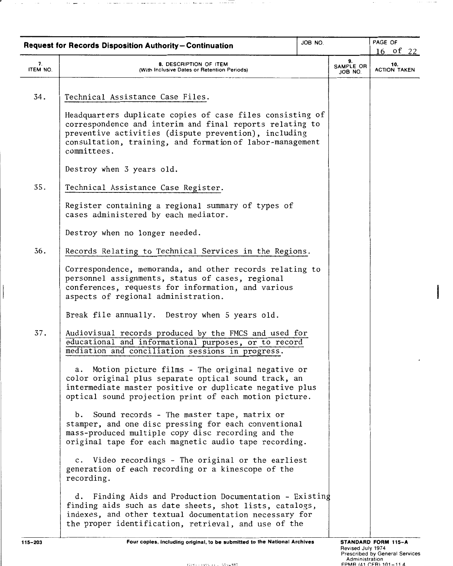|                | <b>Request for Records Disposition Authority-Continuation</b>                                                                                                                                                                                              | JOB NO. |                            | PAGE OF<br>16 of 22        |
|----------------|------------------------------------------------------------------------------------------------------------------------------------------------------------------------------------------------------------------------------------------------------------|---------|----------------------------|----------------------------|
| 7.<br>ITEM NO. | 8. DESCRIPTION OF ITEM<br>(With Inclusive Dates or Retention Periods)                                                                                                                                                                                      |         | 9.<br>SAMPLE OR<br>JOB NO. | 10.<br><b>ACTION TAKEN</b> |
| 34.            | Technical Assistance Case Files.                                                                                                                                                                                                                           |         |                            |                            |
|                | Headquarters duplicate copies of case files consisting of<br>correspondence and interim and final reports relating to<br>preventive activities (dispute prevention), including<br>consultation, training, and formation of labor-management<br>committees. |         |                            |                            |
|                | Destroy when 3 years old.                                                                                                                                                                                                                                  |         |                            |                            |
| 35.            | Technical Assistance Case Register.                                                                                                                                                                                                                        |         |                            |                            |
|                | Register containing a regional summary of types of<br>cases administered by each mediator.                                                                                                                                                                 |         |                            |                            |
|                | Destroy when no longer needed.                                                                                                                                                                                                                             |         |                            |                            |
| 36.            | Records Relating to Technical Services in the Regions.                                                                                                                                                                                                     |         |                            |                            |
|                | Correspondence, memoranda, and other records relating to<br>personnel assignments, status of cases, regional<br>conferences, requests for information, and various<br>aspects of regional administration.                                                  |         |                            |                            |
|                | Break file annually. Destroy when 5 years old.                                                                                                                                                                                                             |         |                            |                            |
| 37.            | Audiovisual records produced by the FMCS and used for<br>educational and informational purposes, or to record<br>mediation and conciliation sessions in progress.                                                                                          |         |                            |                            |
|                | Motion picture films - The original negative or<br>а.<br>color original plus separate optical sound track, an<br>intermediate master positive or duplicate negative plus<br>optical sound projection print of each motion picture.                         |         |                            |                            |
|                | b. Sound records - The master tape, matrix or<br>stamper, and one disc pressing for each conventional<br>mass-produced multiple copy disc recording and the<br>original tape for each magnetic audio tape recording.                                       |         |                            |                            |
|                | c. Video recordings - The original or the earliest<br>generation of each recording or a kinescope of the<br>recording.                                                                                                                                     |         |                            |                            |
|                | d. Finding Aids and Production Documentation - Existing<br>finding aids such as date sheets, shot lists, catalogs,<br>indexes, and other textual documentation necessary for<br>the proper identification, retrieval, and use of the                       |         |                            |                            |
| 115-203        | Four copies, including original, to be submitted to the National Archives                                                                                                                                                                                  |         |                            | <b>STANDARD FORM 115-A</b> |

 $(100, 1075)$   $(1, 0.50, 207)$ 

÷

Revised July 1974<br>Prescribed by General Services<br>Administration<br>FPMR (41 CFR) 101-11 4

I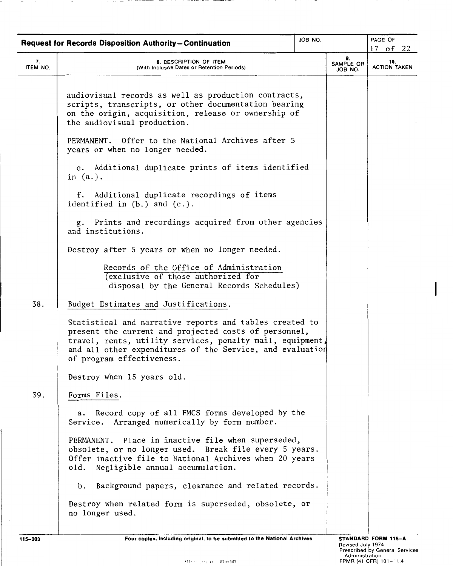|          | <b>Request for Records Disposition Authority-Continuation</b>                                                                                                                                                                                                           | JOB NO. |                 | PAGE OF             |
|----------|-------------------------------------------------------------------------------------------------------------------------------------------------------------------------------------------------------------------------------------------------------------------------|---------|-----------------|---------------------|
| 7.       | 8. DESCRIPTION OF ITEM                                                                                                                                                                                                                                                  |         | 9.<br>SAMPLE OR | 17 of 22<br>10.     |
| ITEM NO. | (With Inclusive Dates or Retention Periods)                                                                                                                                                                                                                             |         | ON BOL          | <b>ACTION TAKEN</b> |
|          | audiovisual records as well as production contracts,<br>scripts, transcripts, or other documentation bearing<br>on the origin, acquisition, release or ownership of<br>the audiovisual production.                                                                      |         |                 |                     |
|          | PERMANENT. Offer to the National Archives after 5<br>years or when no longer needed.                                                                                                                                                                                    |         |                 |                     |
|          | e. Additional duplicate prints of items identified<br>in $(a.)$ .                                                                                                                                                                                                       |         |                 |                     |
|          | f. Additional duplicate recordings of items<br>identified in $(b.)$ and $(c.)$ .                                                                                                                                                                                        |         |                 |                     |
|          | g. Prints and recordings acquired from other agencies<br>and institutions.                                                                                                                                                                                              |         |                 |                     |
|          | Destroy after 5 years or when no longer needed.                                                                                                                                                                                                                         |         |                 |                     |
|          | Records of the Office of Administration<br>(exclusive of those authorized for<br>disposal by the General Records Schedules)                                                                                                                                             |         |                 |                     |
| 38.      | Budget Estimates and Justifications.                                                                                                                                                                                                                                    |         |                 |                     |
|          | Statistical and narrative reports and tables created to<br>present the current and projected costs of personnel,<br>travel, rents, utility services, penalty mail, equipment,<br>and all other expenditures of the Service, and evaluation<br>of program effectiveness. |         |                 |                     |
|          | Destroy when 15 years old.                                                                                                                                                                                                                                              |         |                 |                     |
| 39.      | Forms Files.                                                                                                                                                                                                                                                            |         |                 |                     |
|          | Record copy of all FMCS forms developed by the<br>а.<br>Service. Arranged numerically by form number.                                                                                                                                                                   |         |                 |                     |
|          | PERMANENT. Place in inactive file when superseded,<br>obsolete, or no longer used. Break file every 5 years.<br>Offer inactive file to National Archives when 20 years<br>Negligible annual accumulation.<br>old.                                                       |         |                 |                     |
|          | Background papers, clearance and related records.<br>b.                                                                                                                                                                                                                 |         |                 |                     |
|          | Destroy when related form is superseded, obsolete, or<br>no longer used.                                                                                                                                                                                                |         |                 |                     |
|          |                                                                                                                                                                                                                                                                         |         |                 |                     |

 $-$ 

 $\frac{1}{2} \left( \frac{1}{2} \right) \left( \frac{1}{2} \right) \left( \frac{1}{2} \right) \left( \frac{1}{2} \right) \left( \frac{1}{2} \right) \left( \frac{1}{2} \right) \left( \frac{1}{2} \right) \left( \frac{1}{2} \right) \left( \frac{1}{2} \right) \left( \frac{1}{2} \right) \left( \frac{1}{2} \right) \left( \frac{1}{2} \right) \left( \frac{1}{2} \right) \left( \frac{1}{2} \right) \left( \frac{1}{2} \right) \left( \frac{1}{2} \right) \left( \frac$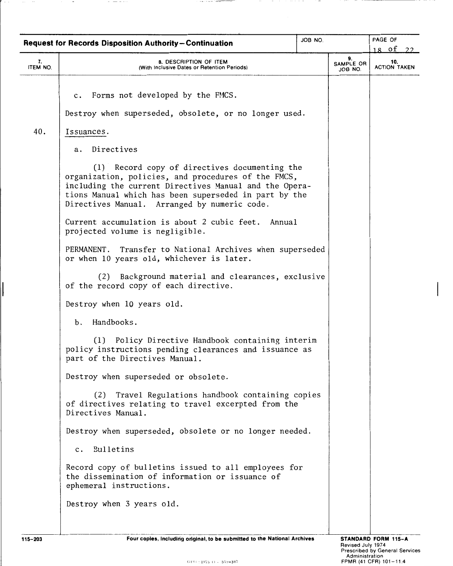|                | <b>Request for Records Disposition Authority-Continuation</b>                                                                                                                                                                                                           | JOB NO. |                            | PAGE OF                                     |  |
|----------------|-------------------------------------------------------------------------------------------------------------------------------------------------------------------------------------------------------------------------------------------------------------------------|---------|----------------------------|---------------------------------------------|--|
| 7.<br>ITEM NO. | 8. DESCRIPTION OF ITEM<br>(With Inclusive Dates or Retention Periods)                                                                                                                                                                                                   |         | 9.<br>SAMPLE OR<br>JOB NO. | <u>18 of </u><br>10.<br><b>ACTION TAKEN</b> |  |
| 40.            | c. Forms not developed by the FMCS.<br>Destroy when superseded, obsolete, or no longer used.<br>Issuances.<br>Directives<br>а.                                                                                                                                          |         |                            |                                             |  |
|                | (1) Record copy of directives documenting the<br>organization, policies, and procedures of the FMCS,<br>including the current Directives Manual and the Opera-<br>tions Manual which has been superseded in part by the<br>Directives Manual. Arranged by numeric code. |         |                            |                                             |  |
|                | Current accumulation is about 2 cubic feet. Annual<br>projected volume is negligible.                                                                                                                                                                                   |         |                            |                                             |  |
|                | PERMANENT. Transfer to National Archives when superseded<br>or when 10 years old, whichever is later.                                                                                                                                                                   |         |                            |                                             |  |
|                | Background material and clearances, exclusive<br>(2)<br>of the record copy of each directive.                                                                                                                                                                           |         |                            |                                             |  |
|                | Destroy when 10 years old.                                                                                                                                                                                                                                              |         |                            |                                             |  |
|                | Handbooks.<br>b.                                                                                                                                                                                                                                                        |         |                            |                                             |  |
|                | (1) Policy Directive Handbook containing interim<br>policy instructions pending clearances and issuance as<br>part of the Directives Manual.                                                                                                                            |         |                            |                                             |  |
|                | Destroy when superseded or obsolete.                                                                                                                                                                                                                                    |         |                            |                                             |  |
|                | (2) Travel Regulations handbook containing copies<br>of directives relating to travel excerpted from the<br>Directives Manual.                                                                                                                                          |         |                            |                                             |  |
|                | Destroy when superseded, obsolete or no longer needed.                                                                                                                                                                                                                  |         |                            |                                             |  |
|                | c. Bulletins                                                                                                                                                                                                                                                            |         |                            |                                             |  |
|                | Record copy of bulletins issued to all employees for<br>the dissemination of information or issuance of<br>ephemeral instructions.                                                                                                                                      |         |                            |                                             |  |
|                | Destroy when 3 years old.                                                                                                                                                                                                                                               |         |                            |                                             |  |
|                |                                                                                                                                                                                                                                                                         |         |                            |                                             |  |

 $\cdots$   $\cdots$   $\cdots$   $\cdots$ 

 $=$ 

 $\bigg|$ 

 $\sim$ 

 $\cdots \quad \cdots \quad \cdots$ 

 $\overline{\phantom{a}}$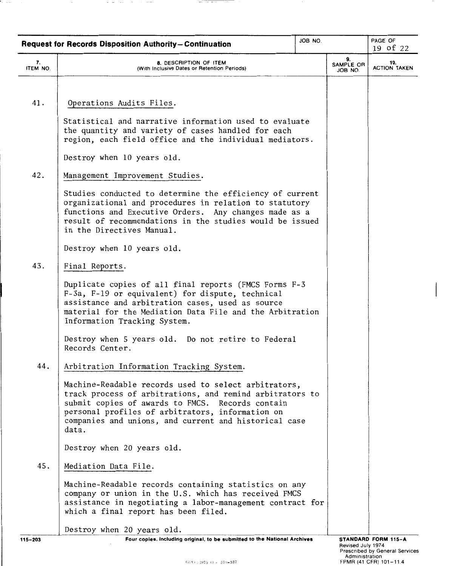|                | <b>Request for Records Disposition Authority-Continuation</b>                                                                                                                                                                                                                              | JOB NO. |                            | PAGE OF<br>19 of 22        |
|----------------|--------------------------------------------------------------------------------------------------------------------------------------------------------------------------------------------------------------------------------------------------------------------------------------------|---------|----------------------------|----------------------------|
| 7.<br>ITEM NO. | 8. DESCRIPTION OF ITEM<br>(With Inclusive Dates or Retention Periods)                                                                                                                                                                                                                      |         | 9.<br>SAMPLE OR<br>JOB NO. | 10.<br><b>ACTION TAKEN</b> |
|                |                                                                                                                                                                                                                                                                                            |         |                            |                            |
| 41.            | Operations Audits Files.                                                                                                                                                                                                                                                                   |         |                            |                            |
|                | Statistical and narrative information used to evaluate<br>the quantity and variety of cases handled for each<br>region, each field office and the individual mediators.                                                                                                                    |         |                            |                            |
|                | Destroy when 10 years old.                                                                                                                                                                                                                                                                 |         |                            |                            |
| 42.            | Management Improvement Studies.                                                                                                                                                                                                                                                            |         |                            |                            |
|                | Studies conducted to determine the efficiency of current<br>organizational and procedures in relation to statutory<br>functions and Executive Orders. Any changes made as a<br>result of recommendations in the studies would be issued<br>in the Directives Manual.                       |         |                            |                            |
|                | Destroy when 10 years old.                                                                                                                                                                                                                                                                 |         |                            |                            |
| 43.            | Final Reports.                                                                                                                                                                                                                                                                             |         |                            |                            |
|                | Duplicate copies of all final reports (FMCS Forms F-3<br>F-3a, F-19 or equivalent) for dispute, technical<br>assistance and arbitration cases, used as source<br>material for the Mediation Data File and the Arbitration<br>Information Tracking System.                                  |         |                            |                            |
|                | Destroy when 5 years old. Do not retire to Federal<br>Records Center.                                                                                                                                                                                                                      |         |                            |                            |
| 44.            | Arbitration Information Tracking System.                                                                                                                                                                                                                                                   |         |                            |                            |
|                | Machine-Readable records used to select arbitrators,<br>track process of arbitrations, and remind arbitrators to<br>submit copies of awards to FMCS. Records contain<br>personal profiles of arbitrators, information on<br>companies and unions, and current and historical case<br>data. |         |                            |                            |
|                | Destroy when 20 years old.                                                                                                                                                                                                                                                                 |         |                            |                            |
| 45.            | Mediation Data File.                                                                                                                                                                                                                                                                       |         |                            |                            |
|                | Machine-Readable records containing statistics on any<br>company or union in the U.S. which has received FMCS<br>assistance in negotiating a labor-management contract for<br>which a final report has been filed.                                                                         |         |                            |                            |
|                | Destroy when 20 years old.                                                                                                                                                                                                                                                                 |         |                            |                            |
| $115 - 203$    | Four copies, including original, to be submitted to the National Archives                                                                                                                                                                                                                  |         |                            | STANDARD FORM 115-A        |

 $\frac{1}{2} \left( \frac{1}{2} \right) \left( \frac{1}{2} \right) \left( \frac{1}{2} \right) \left( \frac{1}{2} \right) \left( \frac{1}{2} \right) \left( \frac{1}{2} \right) \left( \frac{1}{2} \right) \left( \frac{1}{2} \right) \left( \frac{1}{2} \right) \left( \frac{1}{2} \right) \left( \frac{1}{2} \right) \left( \frac{1}{2} \right) \left( \frac{1}{2} \right) \left( \frac{1}{2} \right) \left( \frac{1}{2} \right) \left( \frac{1}{2} \right) \left( \frac$ 

r

 $\sim$  100  $\pm$  100

 $\sim$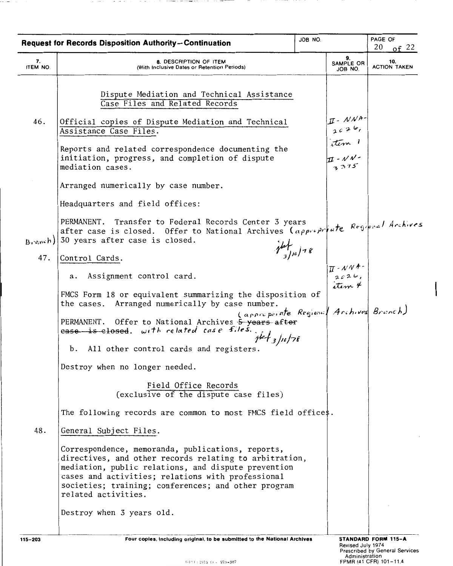|                | <b>Request for Records Disposition Authority-Continuation</b>                                                                                                                                                                                                                                         | JOB NO.                                                                                                                                | PAGE OF<br>20<br>of $22$   |
|----------------|-------------------------------------------------------------------------------------------------------------------------------------------------------------------------------------------------------------------------------------------------------------------------------------------------------|----------------------------------------------------------------------------------------------------------------------------------------|----------------------------|
| 7.<br>ITEM NO. | 8. DESCRIPTION OF ITEM<br>(With Inclusive Dates or Retention Periods)                                                                                                                                                                                                                                 | 9.<br>SAMPLE OR<br>JOB NO.                                                                                                             | 10.<br><b>ACTION TAKEN</b> |
| 46.            | Dispute Mediation and Technical Assistance<br>Case Files and Related Records<br>Official copies of Dispute Mediation and Technical<br>Assistance Case Files.<br>Reports and related correspondence documenting the<br>initiation, progress, and completion of dispute<br>mediation cases.             | $\begin{array}{c}\nI - NNA \\ \hline\n162\n\end{array}$<br>$\begin{array}{c}\nI - NNA \\ \hline\nI - NAC \\ \hline\n3375\n\end{array}$ |                            |
|                | Arranged numerically by case number.<br>Headquarters and field offices:                                                                                                                                                                                                                               |                                                                                                                                        |                            |
| Branch)<br>47. | PERMANENT. Transfer to Federal Records Center 3 years<br>after case is closed. Offer to National Archives (appreprentate Regional Archives<br>30 years after case is closed.<br>Control Cards.                                                                                                        | $\frac{1}{3}$ $\frac{1}{2}$ $\frac{1}{2}$ $\frac{1}{8}$                                                                                |                            |
|                | Assignment control card.<br>а.                                                                                                                                                                                                                                                                        | $\begin{array}{c}\n\pi \cdot \mathcal{N} \mathcal{N}^+ \\ \hline\n2626, \\ \text{at} \\ \end{array}$                                   |                            |
|                | FMCS Form 18 or equivalent summarizing the disposition of<br>the cases. Arranged numerically by case number.<br>PERMANENT. Offer to National Archives 5-years after<br>$case$ is elosed. with related case files.<br>$y^{\prime}$ et 3/10/78<br>b. All other control cards and registers.             | (appropriate Regional Archives Branch)                                                                                                 |                            |
|                | Destroy when no longer needed.                                                                                                                                                                                                                                                                        |                                                                                                                                        |                            |
|                | Field Office Records<br>(exclusive of the dispute case files)                                                                                                                                                                                                                                         |                                                                                                                                        |                            |
|                | The following records are common to most FMCS field offices.                                                                                                                                                                                                                                          |                                                                                                                                        |                            |
| 48.            | General Subject Files.                                                                                                                                                                                                                                                                                |                                                                                                                                        |                            |
|                | Correspondence, memoranda, publications, reports,<br>directives, and other records relating to arbitration,<br>mediation, public relations, and dispute prevention<br>cases and activities; relations with professional<br>societies; training; conferences; and other program<br>related activities. |                                                                                                                                        |                            |
|                | Destroy when 3 years old.                                                                                                                                                                                                                                                                             |                                                                                                                                        |                            |
| $115 - 203$    | Four copies, including original, to be submitted to the National Archives                                                                                                                                                                                                                             | Revised July 1974                                                                                                                      | STANDARD FORM 115-A        |

. . . . .

. . . .

 $\sim$   $\sim$ 

a complex to the contingent of

Revised July 1974 Prescribed by General Services Administration FPMR (41 CFR) 101-11.4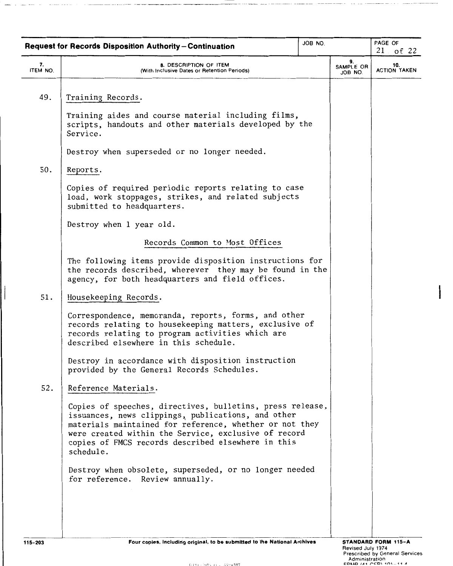|                | <b>Request for Records Disposition Authority-Continuation</b>                                                                                                                                                                                                                                         | JOB NO. |                            | PAGE OF<br>$21$ of $22$    |
|----------------|-------------------------------------------------------------------------------------------------------------------------------------------------------------------------------------------------------------------------------------------------------------------------------------------------------|---------|----------------------------|----------------------------|
| 7.<br>ITEM NO. | 8. DESCRIPTION OF ITEM<br>(With Inclusive Dates or Retention Periods)                                                                                                                                                                                                                                 |         | 9.<br>SAMPLE OR<br>JOB NO. | 10.<br><b>ACTION TAKEN</b> |
| 49.            | Training Records.                                                                                                                                                                                                                                                                                     |         |                            |                            |
|                | Training aides and course material including films,<br>scripts, handouts and other materials developed by the<br>Service.                                                                                                                                                                             |         |                            |                            |
|                | Destroy when superseded or no longer needed.                                                                                                                                                                                                                                                          |         |                            |                            |
| 50.            | Reports.                                                                                                                                                                                                                                                                                              |         |                            |                            |
|                | Copies of required periodic reports relating to case<br>load, work stoppages, strikes, and related subjects<br>submitted to headquarters.                                                                                                                                                             |         |                            |                            |
|                | Destroy when 1 year old.                                                                                                                                                                                                                                                                              |         |                            |                            |
|                | Records Common to Most Offices                                                                                                                                                                                                                                                                        |         |                            |                            |
|                | The following items provide disposition instructions for<br>the records described, wherever they may be found in the<br>agency, for both headquarters and field offices.                                                                                                                              |         |                            |                            |
| 51.            | Housekeeping Records.                                                                                                                                                                                                                                                                                 |         |                            |                            |
|                | Correspondence, memoranda, reports, forms, and other<br>records relating to housekeeping matters, exclusive of<br>records relating to program activities which are<br>described elsewhere in this schedule.                                                                                           |         |                            |                            |
|                | Destroy in accordance with disposition instruction<br>provided by the General Records Schedules.                                                                                                                                                                                                      |         |                            |                            |
| 52.            | Reference Materials.                                                                                                                                                                                                                                                                                  |         |                            |                            |
|                | Copies of speeches, directives, bulletins, press release,<br>issuances, news clippings, publications, and other<br>materials maintained for reference, whether or not they<br>were created within the Service, exclusive of record<br>copies of FMCS records described elsewhere in this<br>schedule. |         |                            |                            |
|                | Destroy when obsolete, superseded, or no longer needed<br>for reference. Review annually.                                                                                                                                                                                                             |         |                            |                            |
| $115 - 203$    | Four copies, including original, to be submitted to the National Archives                                                                                                                                                                                                                             |         |                            | STANDARD FORM 115-A        |